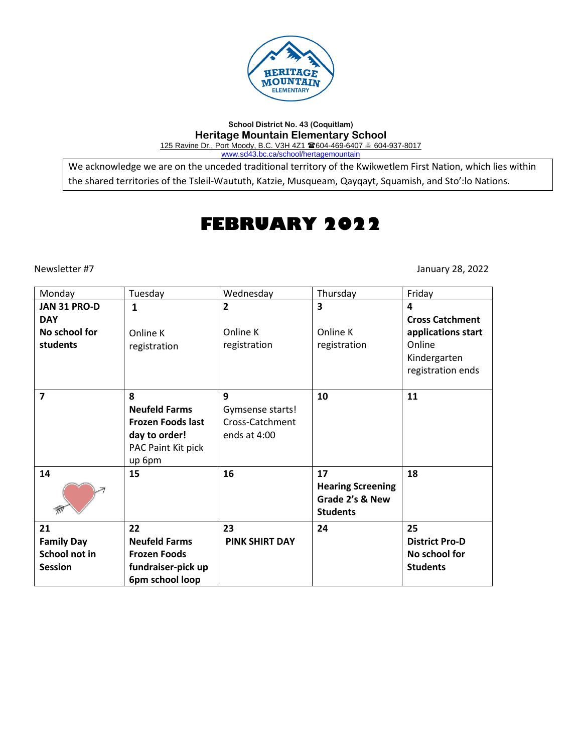

**School District No. 43 (Coquitlam) Heritage Mountain Elementary School** 125 Ravine Dr., Port Moody, B.C. V3H 4Z1 604-469-6407 604-937-8017 [www.sd43.bc.ca/school/hertagemountain](http://www.sd43.bc.ca/school/hertagemountain)

We acknowledge we are on the unceded traditional territory of the Kwikwetlem First Nation, which lies within the shared territories of the Tsleil-Waututh, Katzie, Musqueam, Qayqayt, Squamish, and Sto':lo Nations.

# **FEBRUARY 2022**

Newsletter #7 January 28, 2022

| Monday                                                     | Tuesday                                                                                                | Wednesday                                                | Thursday                                                             | Friday                                                            |
|------------------------------------------------------------|--------------------------------------------------------------------------------------------------------|----------------------------------------------------------|----------------------------------------------------------------------|-------------------------------------------------------------------|
| JAN 31 PRO-D<br><b>DAY</b>                                 | 1                                                                                                      | $\overline{2}$                                           | 3                                                                    | 4<br><b>Cross Catchment</b>                                       |
| No school for<br>students                                  | Online K<br>registration                                                                               | Online K<br>registration                                 | Online K<br>registration                                             | applications start<br>Online<br>Kindergarten<br>registration ends |
| $\overline{7}$                                             | 8<br><b>Neufeld Farms</b><br><b>Frozen Foods last</b><br>day to order!<br>PAC Paint Kit pick<br>up 6pm | 9<br>Gymsense starts!<br>Cross-Catchment<br>ends at 4:00 | 10                                                                   | 11                                                                |
| 14                                                         | 15                                                                                                     | 16                                                       | 17<br><b>Hearing Screening</b><br>Grade 2's & New<br><b>Students</b> | 18                                                                |
| 21<br><b>Family Day</b><br>School not in<br><b>Session</b> | 22<br><b>Neufeld Farms</b><br><b>Frozen Foods</b><br>fundraiser-pick up<br>6pm school loop             | 23<br><b>PINK SHIRT DAY</b>                              | 24                                                                   | 25<br><b>District Pro-D</b><br>No school for<br><b>Students</b>   |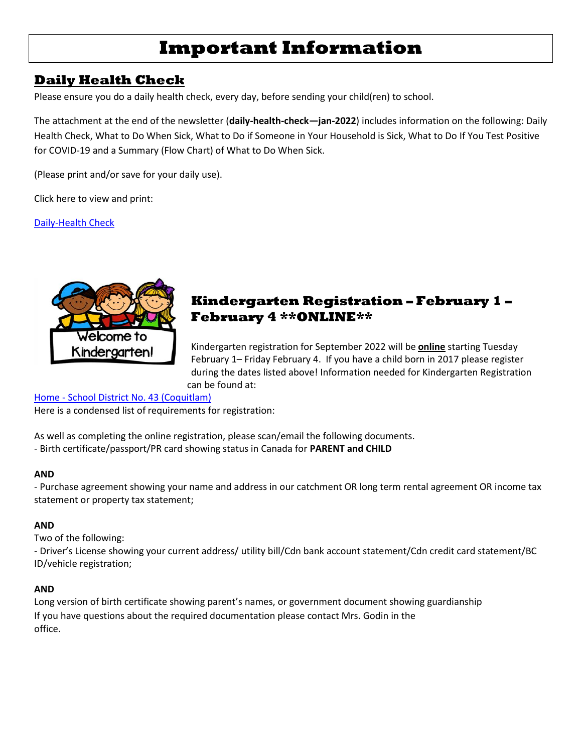# **Important Information**

## **Daily Health Check**

Please ensure you do a daily health check, every day, before sending your child(ren) to school.

The attachment at the end of the newsletter (**daily-health-check—jan-2022**) includes information on the following: Daily Health Check, What to Do When Sick, What to Do if Someone in Your Household is Sick, What to Do If You Test Positive for COVID-19 and a Summary (Flow Chart) of What to Do When Sick.

(Please print and/or save for your daily use).

Click here to view and print:

[Daily-Health Check](file://///D00-V02-P01/Shared_Data/017/Staff_Shared/Covid%2019/daily-health-check---jan-2022%20t.pdf)



## **Kindergarten Registration – February 1 – February 4 \*\*ONLINE\*\***

Kindergarten registration for September 2022 will be **online** starting Tuesday February 1– Friday February 4. If you have a child born in 2017 please register during the dates listed above! Information needed for Kindergarten Registration can be found at:

Home - [School District No. 43 \(Coquitlam\)](http://www.sd43.bc.ca/Pages/default.aspx)

Here is a condensed list of requirements for registration:

As well as completing the online registration, please scan/email the following documents.

- Birth certificate/passport/PR card showing status in Canada for **PARENT and CHILD** 

### **AND**

- Purchase agreement showing your name and address in our catchment OR long term rental agreement OR income tax statement or property tax statement;

### **AND**

Two of the following:

- Driver's License showing your current address/ utility bill/Cdn bank account statement/Cdn credit card statement/BC ID/vehicle registration;

### **AND**

Long version of birth certificate showing parent's names, or government document showing guardianship If you have questions about the required documentation please contact Mrs. Godin in the office.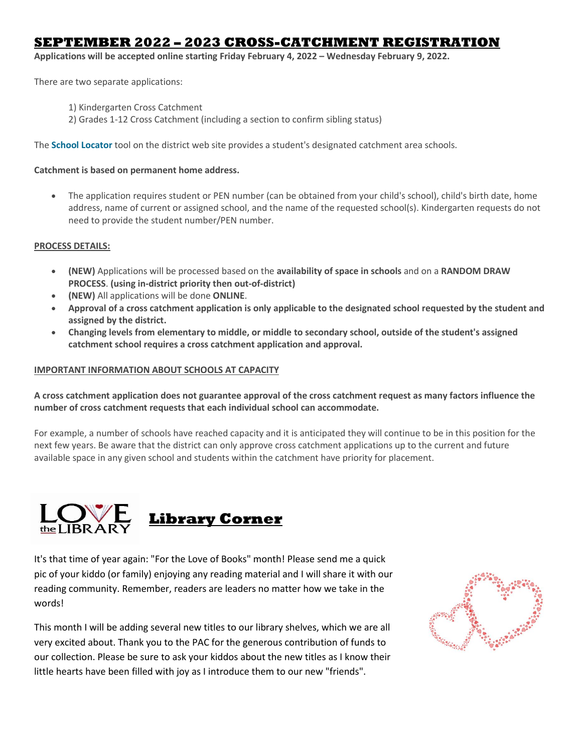## **SEPTEMBER 2022 – 2023 CROSS-CATCHMENT REGISTRATION**

**Applications will be accepted online starting Friday February 4, 2022 – Wednesday February 9, 2022.**

There are two separate applications:

- 1) Kindergarten Cross Catchment
- 2) Grades 1-12 Cross Catchment (including a section to confirm sibling status)

The **[School Locator](http://www.sd43.bc.ca/Schools/Locator/Pages/default.aspx)** tool on the district web site provides a student's designated catchment area schools.

### **Catchment is based on permanent home address.**

• The application requires student or PEN number (can be obtained from your child's school), child's birth date, home address, name of current or assigned school, and the name of the requested school(s). Kindergarten requests do not need to provide the student number/PEN number.

### **PROCESS DETAILS:**

- **(NEW)** Applications will be processed based on the **availability of space in schools** and on a **RANDOM DRAW PROCESS**. **(using in-district priority then out-of-district)**
- **(NEW)** All applications will be done **ONLINE**.
- **Approval of a cross catchment application is only applicable to the designated school requested by the student and assigned by the district.**
- **Changing levels from elementary to middle, or middle to secondary school, outside of the student's assigned catchment school requires a cross catchment application and approval.**

#### **IMPORTANT INFORMATION ABOUT SCHOOLS AT CAPACITY**

**A cross catchment application does not guarantee approval of the cross catchment request as many factors influence the number of cross catchment requests that each individual school can accommodate.**

For example, a number of schools have reached capacity and it is anticipated they will continue to be in this position for the next few years. Be aware that the district can only approve cross catchment applications up to the current and future available space in any given school and students within the catchment have priority for placement.



It's that time of year again: "For the Love of Books" month! Please send me a quick pic of your kiddo (or family) enjoying any reading material and I will share it with our [reading com](https://creativecommons.org/licenses/by-nc-nd/3.0/)munity. Remember, readers are leaders no matter how we take in the words!

This month I will be adding several new titles to our library shelves, which we are all very excited about. Thank you to the PAC for the generous contribution of funds to our collection. Please be sure to ask your kiddos about the new titles as I know their little hearts have been filled with joy as I introduce them to our new "friends".

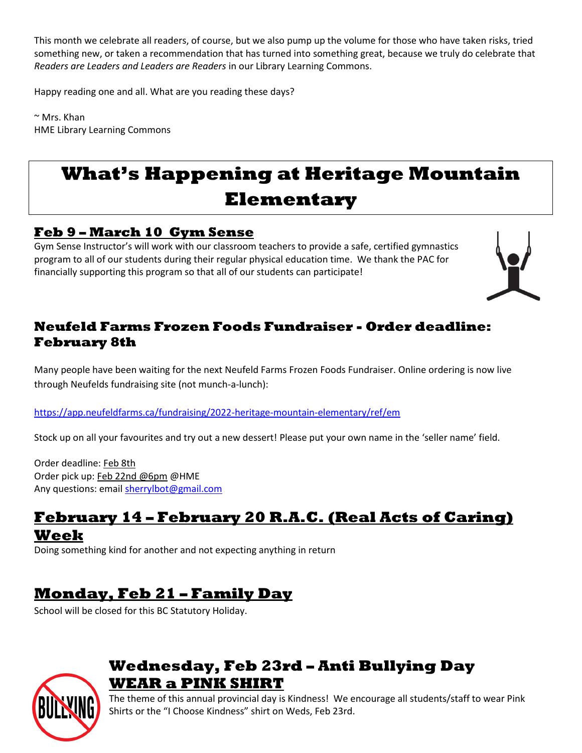This month we celebrate all readers, of course, but we also pump up the volume for those who have taken risks, tried something new, or taken a recommendation that has turned into something great, because we truly do celebrate that *Readers are Leaders and Leaders are Readers* in our Library Learning Commons.

Happy reading one and all. What are you reading these days?

 $~\sim$  Mrs. Khan HME Library Learning Commons

# **What's Happening at Heritage Mountain Elementary**

## **Feb 9 – March 10 Gym Sense**

Gym Sense Instructor's will work with our classroom teachers to provide a safe, certified gymnastics program to all of our students during their regular physical education time. We thank the PAC for financially supporting this program so that all of our students can participate!



## **Neufeld Farms Frozen Foods Fundraiser - Order deadline: February 8th**

Many people have been waiting for the next Neufeld Farms Frozen Foods Fundraiser. Online ordering is now live through Neufelds fundraising site (not munch-a-lunch):

<https://app.neufeldfarms.ca/fundraising/2022-heritage-mountain-elementary/ref/em>

Stock up on all your favourites and try out a new dessert! Please put your own name in the 'seller name' field.

Order deadline: Feb 8th Order pick up: Feb 22nd @6pm @HME Any questions: email [sherrylbot@gmail.com](mailto:sherrylbot@gmail.com)

## **February 14 – February 20 R.A.C. (Real Acts of Caring) Week**

Doing something kind for another and not expecting anything in return

## **Monday, Feb 21 – Family Day**

School will be closed for this BC Statutory Holiday.



## **Wednesday, Feb 23rd – Anti Bullying Day WEAR a PINK SHIRT**

The theme of this annual provincial day is Kindness! We encourage all students/staff to wear Pink Shirts or the "I Choose Kindness" shirt on Weds, Feb 23rd.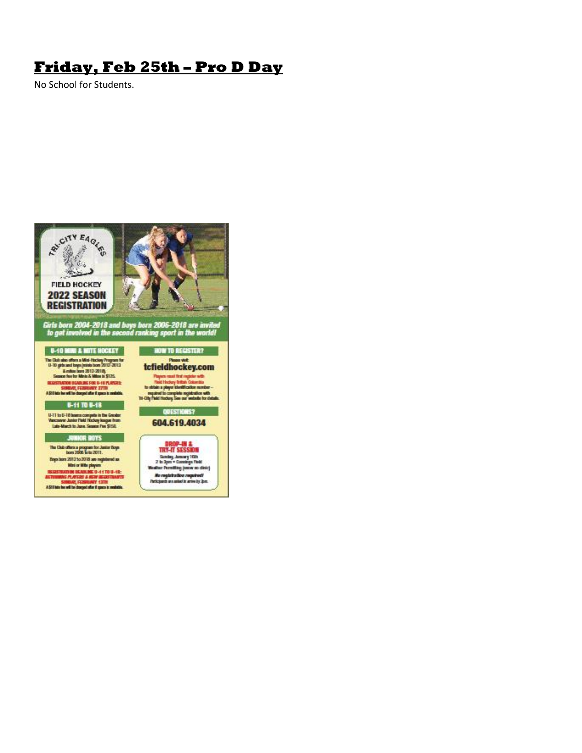## **Friday, Feb 25th – Pro D Day**

No School for Students.

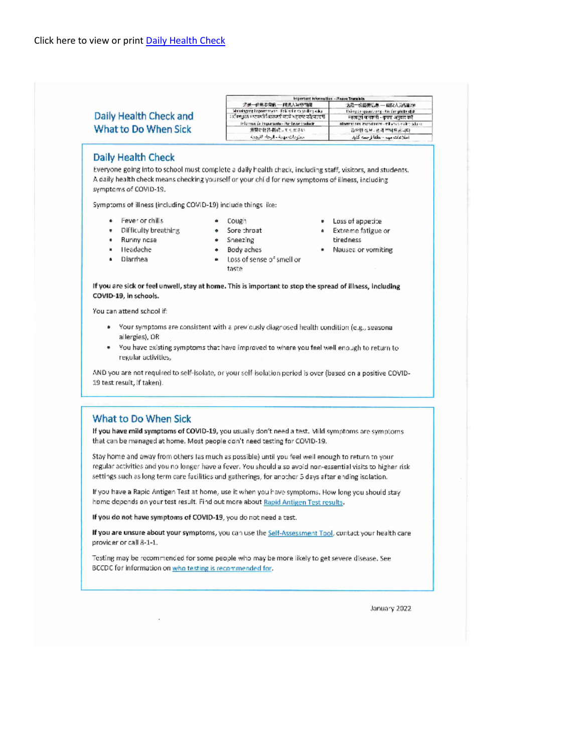| Daily Health Check and<br>What to Do When Sick<br>Daily Health Check<br>Everyone going into to school must complete a daily health check, including staff, visitors, and students.<br>A daily health check means checking yourself or your child for new symptoms of illness, including<br>symptoms of COVID-19,<br>Symptoms of illness (including COVID-19) include things like:<br>Fever or chills<br>Cough<br>. .<br>Difficulty breathing<br>· Sore throat<br>. .<br>Runny nose<br>• Sneezing<br>$\bullet$<br>Headache<br>Body aches<br>. .<br>×.<br>Loss of sense of smell or<br>Diarrhea<br>taste<br>If you are sick or feel unwell, stay at home. This is important to stop the spread of illness, including<br>COVID-19, in schools.<br>You can attend school if:<br>. Your symptoms are consistent with a previously diagnosed health condition (e.g., seasonal<br>allergies), OR<br>• You have existing symptoms that have improved to where you feel well enough to return to<br>regular activities,<br>AND you are not required to self-isolate, or your self-isolation period is over (based on a positive COVID- | 流景一份風靡實能 --- 晴光人神物問題<br>名是一份国要信息 — 模拟人为伤者??<br>Mahalagang Importanyon - Paki salin sa sauling wika-<br>lisking tim quantitarig - Air thm phillin dich.<br>ारीनस्थात मण्डली विद्यालयती काळे असलाए परोप्यालय<br>महत्त्वपूर्ण जनकारी - कृपया अनुवाद करें।<br>Información Importante - Por favor traducir-<br>analysis the curve in entretaining the term of<br>温堅な状態・脳膜にてもださい。<br>음으한 정보나라의 부탁드립니다.<br>استلومات مهمة - الرحاء الترومة<br>اطلاعات ميد - نطفا ترجمه كثيد |
|-------------------------------------------------------------------------------------------------------------------------------------------------------------------------------------------------------------------------------------------------------------------------------------------------------------------------------------------------------------------------------------------------------------------------------------------------------------------------------------------------------------------------------------------------------------------------------------------------------------------------------------------------------------------------------------------------------------------------------------------------------------------------------------------------------------------------------------------------------------------------------------------------------------------------------------------------------------------------------------------------------------------------------------------------------------------------------------------------------------------------------|---------------------------------------------------------------------------------------------------------------------------------------------------------------------------------------------------------------------------------------------------------------------------------------------------------------------------------------------------------------------------------------------------------------------------------------------------------------------|
|                                                                                                                                                                                                                                                                                                                                                                                                                                                                                                                                                                                                                                                                                                                                                                                                                                                                                                                                                                                                                                                                                                                               |                                                                                                                                                                                                                                                                                                                                                                                                                                                                     |
|                                                                                                                                                                                                                                                                                                                                                                                                                                                                                                                                                                                                                                                                                                                                                                                                                                                                                                                                                                                                                                                                                                                               |                                                                                                                                                                                                                                                                                                                                                                                                                                                                     |
|                                                                                                                                                                                                                                                                                                                                                                                                                                                                                                                                                                                                                                                                                                                                                                                                                                                                                                                                                                                                                                                                                                                               |                                                                                                                                                                                                                                                                                                                                                                                                                                                                     |
|                                                                                                                                                                                                                                                                                                                                                                                                                                                                                                                                                                                                                                                                                                                                                                                                                                                                                                                                                                                                                                                                                                                               |                                                                                                                                                                                                                                                                                                                                                                                                                                                                     |
|                                                                                                                                                                                                                                                                                                                                                                                                                                                                                                                                                                                                                                                                                                                                                                                                                                                                                                                                                                                                                                                                                                                               |                                                                                                                                                                                                                                                                                                                                                                                                                                                                     |
|                                                                                                                                                                                                                                                                                                                                                                                                                                                                                                                                                                                                                                                                                                                                                                                                                                                                                                                                                                                                                                                                                                                               |                                                                                                                                                                                                                                                                                                                                                                                                                                                                     |
|                                                                                                                                                                                                                                                                                                                                                                                                                                                                                                                                                                                                                                                                                                                                                                                                                                                                                                                                                                                                                                                                                                                               |                                                                                                                                                                                                                                                                                                                                                                                                                                                                     |
|                                                                                                                                                                                                                                                                                                                                                                                                                                                                                                                                                                                                                                                                                                                                                                                                                                                                                                                                                                                                                                                                                                                               |                                                                                                                                                                                                                                                                                                                                                                                                                                                                     |
|                                                                                                                                                                                                                                                                                                                                                                                                                                                                                                                                                                                                                                                                                                                                                                                                                                                                                                                                                                                                                                                                                                                               |                                                                                                                                                                                                                                                                                                                                                                                                                                                                     |
|                                                                                                                                                                                                                                                                                                                                                                                                                                                                                                                                                                                                                                                                                                                                                                                                                                                                                                                                                                                                                                                                                                                               |                                                                                                                                                                                                                                                                                                                                                                                                                                                                     |
|                                                                                                                                                                                                                                                                                                                                                                                                                                                                                                                                                                                                                                                                                                                                                                                                                                                                                                                                                                                                                                                                                                                               |                                                                                                                                                                                                                                                                                                                                                                                                                                                                     |
|                                                                                                                                                                                                                                                                                                                                                                                                                                                                                                                                                                                                                                                                                                                                                                                                                                                                                                                                                                                                                                                                                                                               |                                                                                                                                                                                                                                                                                                                                                                                                                                                                     |
|                                                                                                                                                                                                                                                                                                                                                                                                                                                                                                                                                                                                                                                                                                                                                                                                                                                                                                                                                                                                                                                                                                                               | · Loss of appetite                                                                                                                                                                                                                                                                                                                                                                                                                                                  |
|                                                                                                                                                                                                                                                                                                                                                                                                                                                                                                                                                                                                                                                                                                                                                                                                                                                                                                                                                                                                                                                                                                                               | · Extreme fatigue or                                                                                                                                                                                                                                                                                                                                                                                                                                                |
|                                                                                                                                                                                                                                                                                                                                                                                                                                                                                                                                                                                                                                                                                                                                                                                                                                                                                                                                                                                                                                                                                                                               | tiredness                                                                                                                                                                                                                                                                                                                                                                                                                                                           |
|                                                                                                                                                                                                                                                                                                                                                                                                                                                                                                                                                                                                                                                                                                                                                                                                                                                                                                                                                                                                                                                                                                                               | · Nausea or vorniting                                                                                                                                                                                                                                                                                                                                                                                                                                               |
|                                                                                                                                                                                                                                                                                                                                                                                                                                                                                                                                                                                                                                                                                                                                                                                                                                                                                                                                                                                                                                                                                                                               |                                                                                                                                                                                                                                                                                                                                                                                                                                                                     |
|                                                                                                                                                                                                                                                                                                                                                                                                                                                                                                                                                                                                                                                                                                                                                                                                                                                                                                                                                                                                                                                                                                                               |                                                                                                                                                                                                                                                                                                                                                                                                                                                                     |
|                                                                                                                                                                                                                                                                                                                                                                                                                                                                                                                                                                                                                                                                                                                                                                                                                                                                                                                                                                                                                                                                                                                               |                                                                                                                                                                                                                                                                                                                                                                                                                                                                     |
|                                                                                                                                                                                                                                                                                                                                                                                                                                                                                                                                                                                                                                                                                                                                                                                                                                                                                                                                                                                                                                                                                                                               |                                                                                                                                                                                                                                                                                                                                                                                                                                                                     |
|                                                                                                                                                                                                                                                                                                                                                                                                                                                                                                                                                                                                                                                                                                                                                                                                                                                                                                                                                                                                                                                                                                                               |                                                                                                                                                                                                                                                                                                                                                                                                                                                                     |
|                                                                                                                                                                                                                                                                                                                                                                                                                                                                                                                                                                                                                                                                                                                                                                                                                                                                                                                                                                                                                                                                                                                               |                                                                                                                                                                                                                                                                                                                                                                                                                                                                     |
|                                                                                                                                                                                                                                                                                                                                                                                                                                                                                                                                                                                                                                                                                                                                                                                                                                                                                                                                                                                                                                                                                                                               |                                                                                                                                                                                                                                                                                                                                                                                                                                                                     |
|                                                                                                                                                                                                                                                                                                                                                                                                                                                                                                                                                                                                                                                                                                                                                                                                                                                                                                                                                                                                                                                                                                                               |                                                                                                                                                                                                                                                                                                                                                                                                                                                                     |
|                                                                                                                                                                                                                                                                                                                                                                                                                                                                                                                                                                                                                                                                                                                                                                                                                                                                                                                                                                                                                                                                                                                               |                                                                                                                                                                                                                                                                                                                                                                                                                                                                     |
|                                                                                                                                                                                                                                                                                                                                                                                                                                                                                                                                                                                                                                                                                                                                                                                                                                                                                                                                                                                                                                                                                                                               |                                                                                                                                                                                                                                                                                                                                                                                                                                                                     |
|                                                                                                                                                                                                                                                                                                                                                                                                                                                                                                                                                                                                                                                                                                                                                                                                                                                                                                                                                                                                                                                                                                                               |                                                                                                                                                                                                                                                                                                                                                                                                                                                                     |
|                                                                                                                                                                                                                                                                                                                                                                                                                                                                                                                                                                                                                                                                                                                                                                                                                                                                                                                                                                                                                                                                                                                               |                                                                                                                                                                                                                                                                                                                                                                                                                                                                     |
| 19 test result, if taken).                                                                                                                                                                                                                                                                                                                                                                                                                                                                                                                                                                                                                                                                                                                                                                                                                                                                                                                                                                                                                                                                                                    |                                                                                                                                                                                                                                                                                                                                                                                                                                                                     |
|                                                                                                                                                                                                                                                                                                                                                                                                                                                                                                                                                                                                                                                                                                                                                                                                                                                                                                                                                                                                                                                                                                                               |                                                                                                                                                                                                                                                                                                                                                                                                                                                                     |
|                                                                                                                                                                                                                                                                                                                                                                                                                                                                                                                                                                                                                                                                                                                                                                                                                                                                                                                                                                                                                                                                                                                               |                                                                                                                                                                                                                                                                                                                                                                                                                                                                     |

If you have mild symptoms of COVID-19, you usually don't need a test. Mild symptoms are symptoms that can be managed at home. Most people don't need testing for COVID-19.

Stay home and away from others (as much as possible) until you feel well enough to return to your regular activities and you no longer have a fever. You should also avoid non-essential visits to higher risk. settings such as long term care facilities and gatherings, for another 5 days after ending isolation.

If you have a Rapid Antigen Test at home, use it when you have symptoms. How long you should stay home depends on your test result. Find out more about Rapid Antigen Test results.

If you do not have symptoms of COVID-19, you do not need a test.

 $\mathcal{L}$ 

If you are unsure about your symptoms, you can use the Self-Assessment Tool, contact your health care provider or call 8-1-1.

Testing may be recommended for some people who may be more likely to get severe disease. See BCCDC for information on who testing is recommended for.

January 2022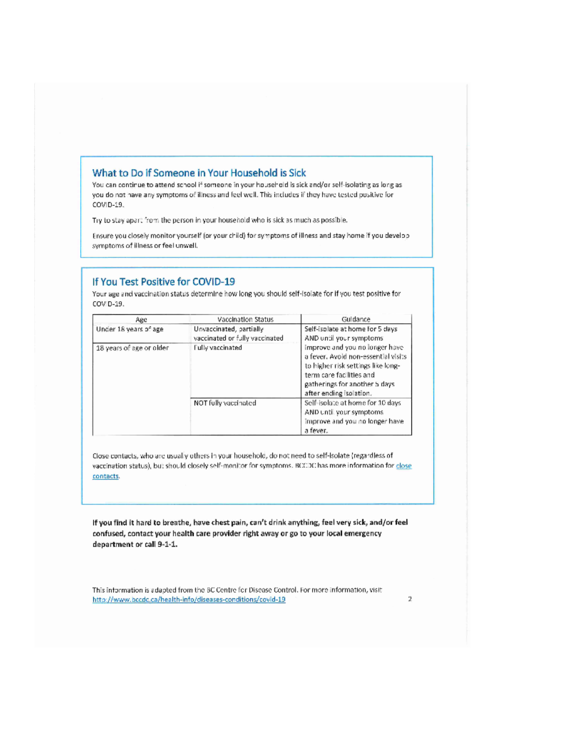### What to Do if Someone in Your Household is Sick

You can continue to attend school if someone in your household is sick and/or self-isolating as long as you do not have any symptoms of illness and feel well. This includes if they have tested positive for COVID-19.

Try to stay apart from the person in your household who is sick as much as possible.

Ensure you closely monitor yourself (or your child) for symptoms of illness and stay home if you develop symptoms of illness or feel unwell.

#### If You Test Positive for COVID-19

Your age and vaccination status determine how long you should self-isolate for if you test positive for COVID-19.

| Age                      | Vaccination Status                                        | Guldance                                                                                                                                                                                             |  |
|--------------------------|-----------------------------------------------------------|------------------------------------------------------------------------------------------------------------------------------------------------------------------------------------------------------|--|
| Under 18 years of age    | Unvaccinated, partially<br>vaccinated or fully vaccinated | Self-isolate at home for 5 days<br>AND until your symptoms                                                                                                                                           |  |
| 18 years of age or older | Fully vaccinated                                          | improve and you no longer have<br>a fever. Avoid non-essential visits<br>to higher risk settings like long-<br>term care facilities and<br>gatherings for another 5 days.<br>after ending isolation. |  |
|                          | NOT fully vaccinated                                      | Self-isolate at home for 10 days<br>AND until your symptoms<br>Improve and you no longer have<br>a fever.                                                                                            |  |

Close contacts, who are usually others in your household, do not need to self-isolate (regardless of vaccination status), but should closely self-monitor for symptoms. BCCDC has more information for close contacts.

If you find it hard to breathe, have chest pain, can't drink anything, feel very sick, and/or feel confused, contact your health care provider right away or go to your local emergency department or call 9-1-1.

This information is adapted from the BC Centre for Disease Control. For more information, visit http://www.bccdc.ca/health-info/diseases-conditions/covid-19

 $\overline{2}$